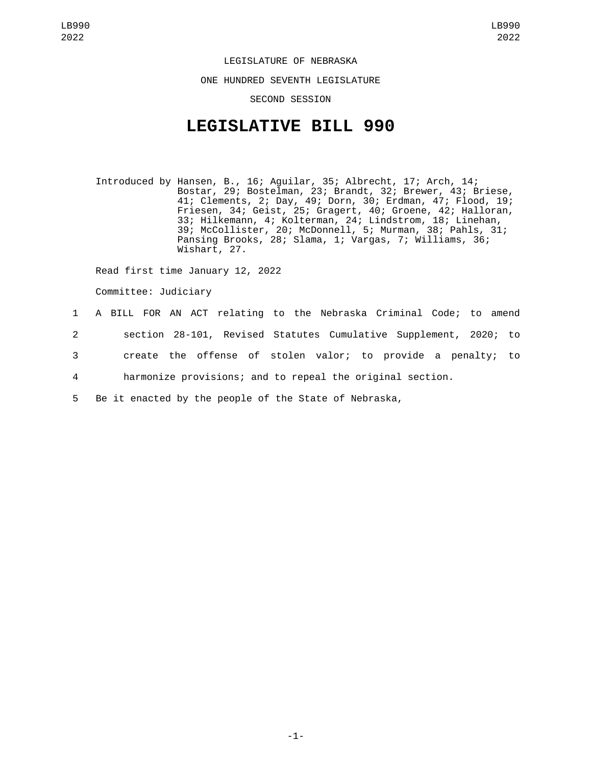LEGISLATURE OF NEBRASKA ONE HUNDRED SEVENTH LEGISLATURE SECOND SESSION

## **LEGISLATIVE BILL 990**

Introduced by Hansen, B., 16; Aguilar, 35; Albrecht, 17; Arch, 14; Bostar, 29; Bostelman, 23; Brandt, 32; Brewer, 43; Briese, 41; Clements, 2; Day, 49; Dorn, 30; Erdman, 47; Flood, 19; Friesen, 34; Geist, 25; Gragert, 40; Groene, 42; Halloran, 33; Hilkemann, 4; Kolterman, 24; Lindstrom, 18; Linehan, 39; McCollister, 20; McDonnell, 5; Murman, 38; Pahls, 31; Pansing Brooks, 28; Slama, 1; Vargas, 7; Williams, 36; Wishart, 27.

Read first time January 12, 2022

Committee: Judiciary

## 1 A BILL FOR AN ACT relating to the Nebraska Criminal Code; to amend 2 section 28-101, Revised Statutes Cumulative Supplement, 2020; to 3 create the offense of stolen valor; to provide a penalty; to 4 harmonize provisions; and to repeal the original section. 5 Be it enacted by the people of the State of Nebraska,